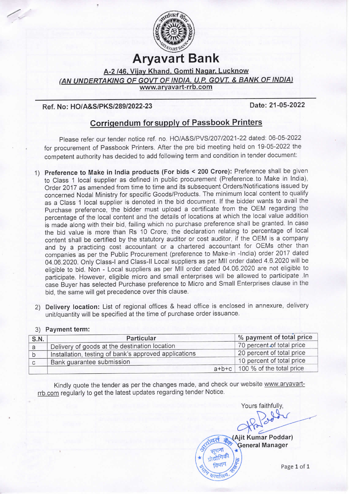

Aryavart Bank

A-2 /46. Viiay Khand. Gomti Nagar. Lucknow (AN UNDERTAKING OF GOVT OF INDIA, U.P. GOVT. & BANK OF INDIA) www.aryavart-rrb.com

## Ref. No: HO/A&S/PKS/289/2022-23

.,

Date: 21 -05-2022

## Corrigendum for supply of Passbook Printers

Please refer our tender notice ref, no. HO/A&S/PVS/207/2021-22 dated: 06-05-2022 for procurement of Passbook Printers. After the pre bid meeting held on 19-05-2022 the competent authority has decided to add following term and condition in tender document:

- 1) Preference to Make in India products (For bids < 200 Crore): Preference shall be given to Class 1 local supplier as defined in public procurement (Preference to Make in India), Order 2017 as amended from time to time and its subsequent Orders/Notifications issued by concerned Nodal Ministry for specific Goods/Products. The minimum local content to qualify as a Class 1 local supplier is denoted in the bid document. If the bidder wants to avail the Purchase preference, the bidder must upload a certificate from the OEM regarding the percentage of the local content and the details of locations at which the local value addition is made along with their bid, failing which no purchase preference shall be granted. In case the bid value is more than Rs 10 Crore, the declaration relating to percentage of local content shall be certified by the statutory auditor or cost auditor, if the OEM is a company and by a practicing cost accountant or a chartered accountant for OEMs other than companies as per the Public Procurement (preference to Make-in -lndia) order 2017 dated 04.06.2020. Only Class-I and Class-ll Local suppliers as per Mll order dated 4.6.2020 will be eligible to bid. Non - Local suppliers as per Mll order dated 04.06.2020 are not eligible to participate. However, eligible micro and small enterprises will be allowed to participate .In case Buyer has selected Purchase preference to Micro and Small Enterprises clause in the bid, the same will get precedence over this clause.
- 2) Delivery location: List of regional offices & head office is enclosed in annexure, delivery unit/quantity will be specified at the time of purchase order issuance.

## 3) Payment term:

| % payment of total price         |
|----------------------------------|
| 70 percent of total price        |
| 20 percent of total price        |
| 10 percent of total price        |
| $a+b+c$ 100 % of the total price |
|                                  |

Kindly quote the tender as per the changes made, and check our website www.aryavartrrb.com regularly to get the latest updates regarding tender Notice.<br>Yours faithfully.

(Ajit Kumar Poddar) General Manager